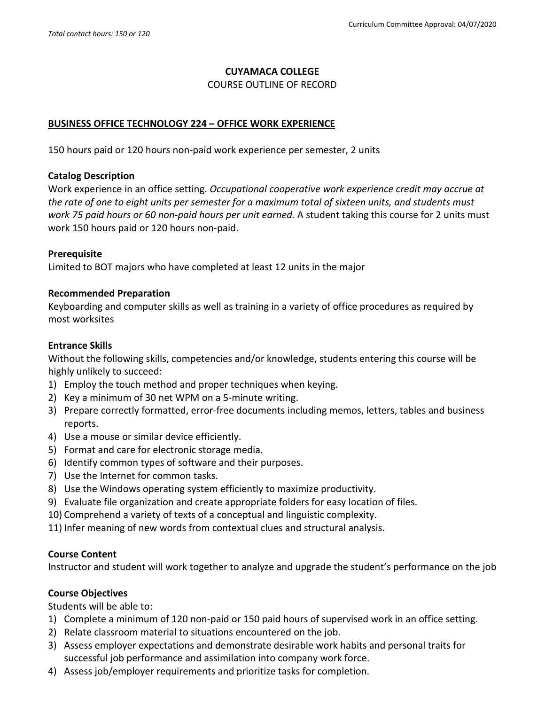### **CUYAMACA COLLEGE**

### COURSE OUTLINE OF RECORD

## **BUSINESS OFFICE TECHNOLOGY 224 – OFFICE WORK EXPERIENCE**

150 hours paid or 120 hours non-paid work experience per semester, 2 units

### **Catalog Description**

Work experience in an office setting. *Occupational cooperative work experience credit may accrue at the rate of one to eight units per semester for a maximum total of sixteen units, and students must work 75 paid hours or 60 non-paid hours per unit earned.* A student taking this course for 2 units must work 150 hours paid or 120 hours non-paid.

## **Prerequisite**

Limited to BOT majors who have completed at least 12 units in the major

## **Recommended Preparation**

Keyboarding and computer skills as well as training in a variety of office procedures as required by most worksites

## **Entrance Skills**

Without the following skills, competencies and/or knowledge, students entering this course will be highly unlikely to succeed:

- 1) Employ the touch method and proper techniques when keying.
- 2) Key a minimum of 30 net WPM on a 5-minute writing.
- 3) Prepare correctly formatted, error-free documents including memos, letters, tables and business reports.
- 4) Use a mouse or similar device efficiently.
- 5) Format and care for electronic storage media.
- 6) Identify common types of software and their purposes.
- 7) Use the Internet for common tasks.
- 8) Use the Windows operating system efficiently to maximize productivity.
- 9) Evaluate file organization and create appropriate folders for easy location of files.
- 10) Comprehend a variety of texts of a conceptual and linguistic complexity.
- 11) Infer meaning of new words from contextual clues and structural analysis.

#### **Course Content**

Instructor and student will work together to analyze and upgrade the student's performance on the job

## **Course Objectives**

Students will be able to:

- 1) Complete a minimum of 120 non-paid or 150 paid hours of supervised work in an office setting.
- 2) Relate classroom material to situations encountered on the job.
- 3) Assess employer expectations and demonstrate desirable work habits and personal traits for successful job performance and assimilation into company work force.
- 4) Assess job/employer requirements and prioritize tasks for completion.